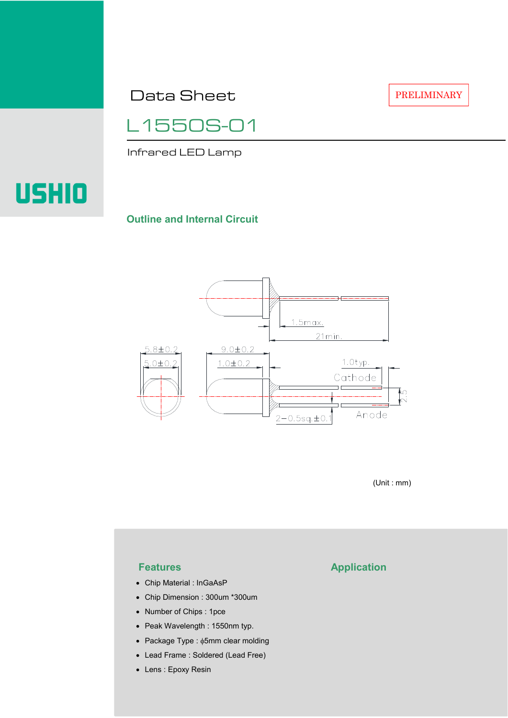Data Sheet

L1550S-01

Infrared LED Lamp

# **USHIO**

#### **Outline and Internal Circuit**



(Unit : mm)

- Chip Material : InGaAsP
- Chip Dimension : 300um \*300um
- Number of Chips : 1pce
- Peak Wavelength : 1550nm typ.
- Package Type : φ5mm clear molding
- Lead Frame : Soldered (Lead Free)
- Lens : Epoxy Resin

## **Features Application**

PRELIMINARY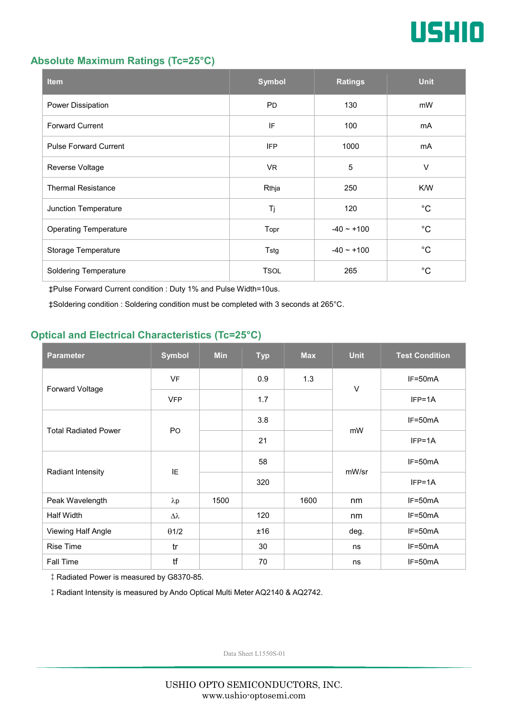

#### **Absolute Maximum Ratings (Tc=25°C)**

| <b>Item</b>                  | <b>Symbol</b> | <b>Ratings</b>  | <b>Unit</b> |
|------------------------------|---------------|-----------------|-------------|
| Power Dissipation            | <b>PD</b>     | 130             | mW          |
| <b>Forward Current</b>       | IF            | 100             | mA          |
| <b>Pulse Forward Current</b> | <b>IFP</b>    | 1000            | mA          |
| Reverse Voltage              | VR.           | $\overline{5}$  | $\vee$      |
| <b>Thermal Resistance</b>    | Rthja         | 250             | K/W         |
| Junction Temperature         | Tj            | 120             | $^{\circ}C$ |
| <b>Operating Temperature</b> | Topr          | $-40 \sim +100$ | $^{\circ}C$ |
| Storage Temperature          | Tstg          | $-40 \sim +100$ | $^{\circ}C$ |
| <b>Soldering Temperature</b> | <b>TSOL</b>   | 265             | $^{\circ}C$ |

‡Pulse Forward Current condition : Duty 1% and Pulse Width=10us.

‡Soldering condition : Soldering condition must be completed with 3 seconds at 265°C.

### **Optical and Electrical Characteristics (Tc=25°C)**

| <b>Parameter</b>            | <b>Symbol</b>  | <b>Min</b> | <b>Typ</b> | <b>Max</b> | <b>Unit</b> | <b>Test Condition</b> |
|-----------------------------|----------------|------------|------------|------------|-------------|-----------------------|
| Forward Voltage             | <b>VF</b>      |            | 0.9        | 1.3        | $\vee$      | IF=50mA               |
|                             | <b>VFP</b>     |            | 1.7        |            |             | $IFP=1A$              |
| <b>Total Radiated Power</b> | P <sub>O</sub> |            | 3.8        |            | mW          | $IF=50mA$             |
|                             |                |            | 21         |            |             | $IFP=1A$              |
| Radiant Intensity           | IE             |            | 58         |            | mW/sr       | $IF=50mA$             |
|                             |                |            | 320        |            |             | $IFP=1A$              |
| Peak Wavelength             | $\lambda p$    | 1500       |            | 1600       | nm          | $IF=50mA$             |
| Half Width                  | Δλ             |            | 120        |            | nm          | $IF=50mA$             |
| Viewing Half Angle          | $\theta$ 1/2   |            | ±16        |            | deg.        | $IF=50mA$             |
| <b>Rise Time</b>            | tr             |            | 30         |            | ns          | $IF=50mA$             |
| <b>Fall Time</b>            | tf             |            | 70         |            | ns          | $IF=50mA$             |

‡Radiated Power is measured by G8370-85.

‡Radiant Intensity is measured by Ando Optical Multi Meter AQ2140 & AQ2742.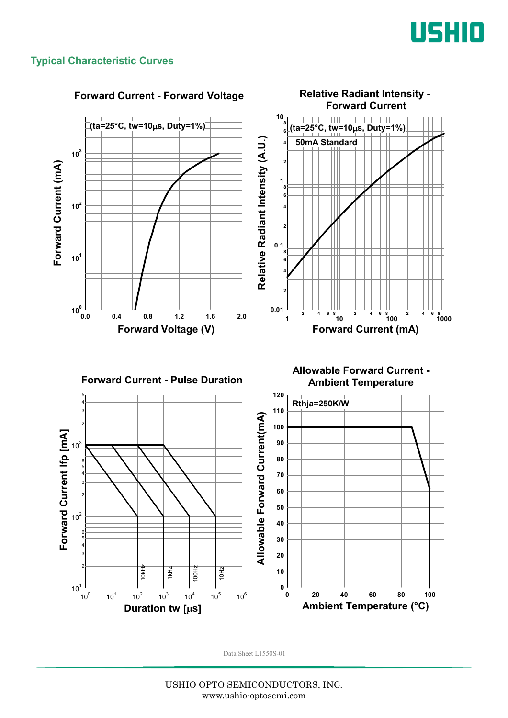

#### **Typical Characteristic Curves**

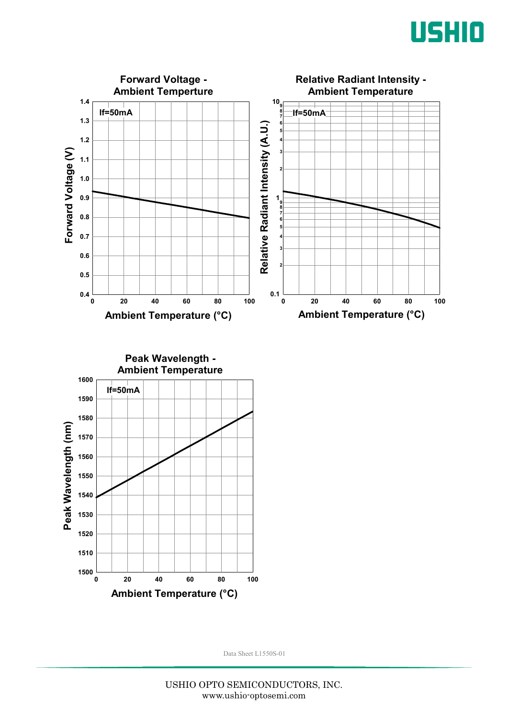



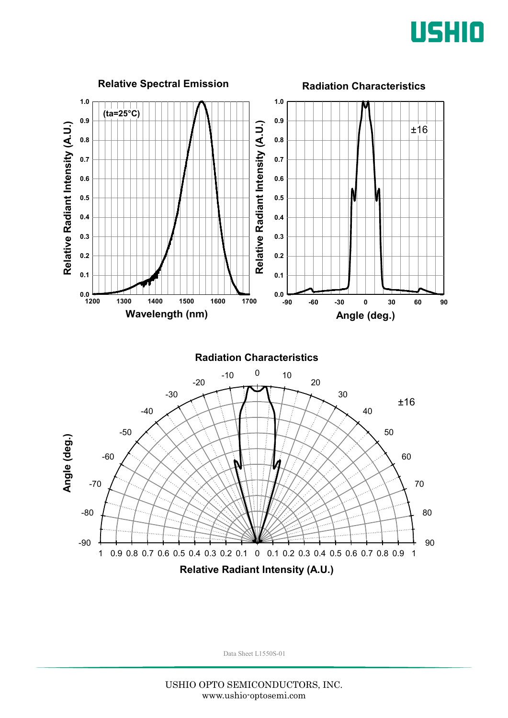